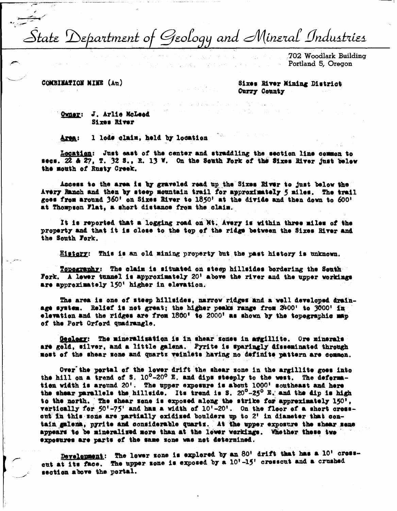State Department of Geology and Mineral Industries

e novel

PARTICULAR CONTROL

702 Woodlark Building Portland 5, Oregon

COMBINATION NINE (Ap)

Sixes River Mining District Curry County

Owner: J. Arlie McLeed Sixes River

1 lode claim, held by location Area:

Location: Just east of the center and straddling the section line common to secs. 22 & 27, T. 32 S., R. 13 W. On the South Fork of the Sixes River just below the mouth of Rusty Creek.

Access to the area is by graveled read up the Sixes River to just below the Avery Ranch and then by steep mountain trail for approximately 5 miles. The trail goes from around 360' on Sixes River to 1850' at the divide and then down to 600' at Thompson Flat, a short distance from the claim.

It is reported that a logging road on Mt. Avery is within three miles of the property and that it is close to the top of the ridge between the Sixes River and the South Fork.

History: This is an old mining property but the past history is unknown.

Topography: The claim is situated on steep hillsides bordering the Senth Fork. A lower tunnel is approximately 20' above the river and the upper workings are approximately 150' higher in elevation.

The area is one of steep hillsides, narrow ridges and a well developed drainage system. Relief is not great; the higher peaks range from 2400' to 3000' in elevation and the ridges are from 1860' to 2000' as shown by the topographic map of the Port Orford quadrangle.

Geology: The mineralization is in shear zones in argillite. Ore minerals are gold, silver, and a little galena. Pyrite is sparingly disseminated through most of the shear some and quartz veinlets having no definite pattern are common.

Over the pertal of the lower drift the shear sone in the argillite goes into the hill on a trend of S. 10<sup>0</sup>-20<sup>0</sup> E. and dips steeply to the west. The defermation width is around 20'. The upper exposure is about 1000' southeast and here the shear parallels the hillside. Its trend is S.  $20^{\circ} - 25^{\circ}$  E. and the dip is high to the north. The shear sone is exposed along the strike for appreximately 150'. vertically for 50'-75' and has a width of 10'-20'. On the floor of a short cresscut in this some are partially exidised boulders up to 2' in diameter that contain galena, pyrite and considerable quarts. At the upper exposure the shear sene appears to be mineralized more than at the lewer workings. Whether these two exposures are parts of the same zone was not determined.

Development: The lower sone is explored by an 80' drift that has a 10' crosscut at its face. The upper sone is exposed by a 10'-15' crosscut and a crushed section above the portal.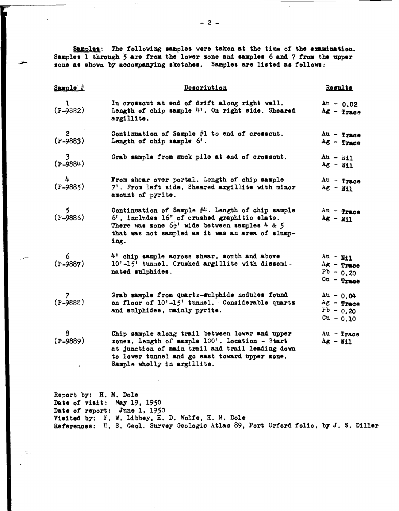Samples: The following samples were taken at the time of the examination. Samples 1 through 5 are from the lower zone and samples 6 and 7 from the upper zone as shown by accompanying sketches. Samples are listed as follows:

| Sample #             | Description                                                                                                                                                                                                                            | Results                                                      |
|----------------------|----------------------------------------------------------------------------------------------------------------------------------------------------------------------------------------------------------------------------------------|--------------------------------------------------------------|
| ı<br>$(P-9882)$      | In crosseut at end of drift along right wall.<br>Length of chip sample 4'. On right side. Sheared<br>argillite.                                                                                                                        | $An - 0.02$<br>$Ag - Trace$                                  |
| $2$<br>(P-9883)      | Continuation of Sample #1 to end of crosscut.<br>Length of chip sample 6'.                                                                                                                                                             | $Au - True$<br>$Ag - Trace$                                  |
| $(2 - 9884)$         | Grab sample from muck pile at end of crossout.                                                                                                                                                                                         | $Au - NI1$<br>$Ag - M11$                                     |
| 4<br>$(P-9885)$      | From shear over portal. Length of chip sample<br>7'. From left side. Sheared argillite with minor<br>amount of pyrite.                                                                                                                 | $Au - Trace$<br>$Ag - M1$                                    |
| $\frac{5}{(P-9886)}$ | Continuation of Sample $#4$ . Length of chip sample<br>$6'$ , includes $16''$ of crushed graphitic slate.<br>There was sone $6\frac{1}{2}$ ' wide between samples 4 & 5<br>that was not sampled as it was an area of slump-<br>ing.    | $Au - Trace$<br>$Ag - NI1$                                   |
| $6$<br>(P-9887)      | 4' chip sample across shear, south and above<br>10'-15' tunnel. Crushed argillite with dissemi-<br>nated sulphides.                                                                                                                    | $Au - H1$<br>$Ag$ - Trace<br>$Pb - 0.20$<br>$cu - r_{raoe}$  |
| $7$<br>(P-9888)      | Grab sample from quartz-sulphide nodules found<br>on floor of 10'-15' tunnel. Considerable quartz<br>and sulphides, mainly pyrite.                                                                                                     | $Au - 0.04$<br>$Ag$ - Trace<br>$Pb - 0.20$<br>$c_{u} - 0.10$ |
| 8<br>$(P-9889)$      | Chip sample along trail between lower and upper<br>zones. Length of sample 100'. Location - Start<br>at junction of main trail and trail leading down<br>to lower tunnel and go east toward upper zone.<br>Sample wholly in argillite. | $Au - Trace$<br>$Ag - M11$                                   |

Report b7: H. M. Dole Date of viait: May 19, 1950 Date of report: June 1, 1950 **Visited** by: F. W. Libbey, H. D. Wolfe, H. M, Dole References: U. S. Geol. Survey Geologic Atlas 89, Port Orford folio, by J. S. Diller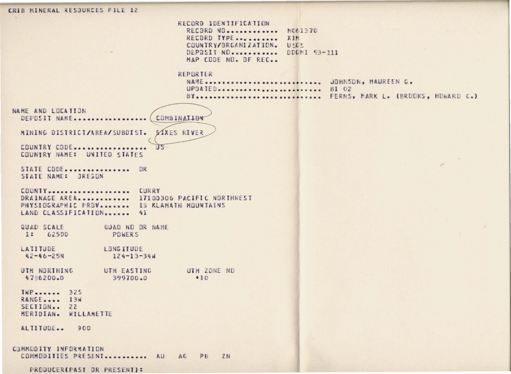CRIB MINERAL RESOURCES FILE 12 RECORD IDENTIFICATION RECORD NO. ............ M061370 RECORD TYPE..........  $X1M$ COUNTRY/BRGANIZATION. USES DEPOSIT NO............ DDGMI 93-111 MAP CODE NO. DE REC. REPORTER NAME............................ JOHNSON, MAUREEN G. UPDATED......................... 81 02 BY............................... FERNS, MARK L. (BROOKS, HOWARD C.) NAME AND LOCATION COMBINALION DEPOSIT NAME................... MINING DISTRICT/AREA/SUBDIST. SIXES RIVER COUNTRY CODE..........  $\mathbb{R}$ COUNTRY NAME: UNITED STATES STATE CODE................ OR STATE NAME: OREGON COUNTY.................... CURRY DRAINAGE AREA............ 17100306 PACIFIC NORTHWEST PHYSIDGRAPHIC PRBV....... 13 KLAMATH MDUNTAINS LAND CLASSIFICATION....... 41 QUAD SCALE QUAD NO OR NAME 1: 62500 POWERS LATITUDE LONG ITUDE  $42 - 46 - 25N$  $124 - 13 - 34$ UTM ZONE NO UTM NORTHING UTH EASTING 4756200.0 399700.0  $+10$ TWP....... 325 RANGE..... 13W SECTION.. 22 MERIDIAN. WILLAMETTE ALTITUDE.. 900 COMMODITY INFORMATION COMMODITIES PRESENT........... AU AG PB ZN PRODUCER(PAST OR PRESENT):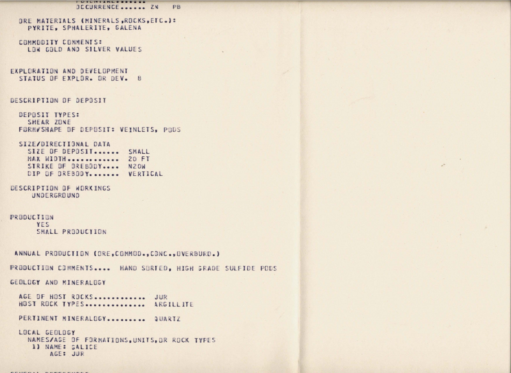**I UILITIANLESSEE AR**  $P<sub>B</sub>$ **DCCURRENCE....... ZN** 

ORE MATERIALS (MINERALS, ROCKS, ETC.): PYRITE, SPHALERITE, GALENA

COMMODITY CONNENTS: LOW GOLD AND SILVER VALUES

EXPLORATION AND DEVELOPMENT STATUS OF EXPLOR. OR DEV. 8

### DESCRIPTION OF DEPOSIT

DEPOSIT TYPES: SHEAR ZONE FORM/SHAPE OF DEPOSIT: VEINLETS, PODS

## SIZE/DIRECTIONAL DATA

SIZE OF DEPOSIT....... SMALL MAX WIDTH ............. 20 FT STRIKE DF DREBODY.... N2OW DIP OF OREBODY....... VERTICAL

DESCRIPTION OF WORKINGS **UNDERGROUND** 

# PRODUCTION

YES SMALL PRODUCTION

ANNUAL PRODUCTION (ORE, COMMOD., CONC., OVERBURD.)

PRODUCTION COMMENTS.... HAND SORTED, HIGH GRADE SULFIDE PODS

GEOLOGY AND MINERALOGY

AGE OF HOST ROCKS............. JUR HOST ROCK TYPES ............... ARGILLITE

PERTINENT MINERALOGY.......... QUARTZ

```
LOCAL GEOLDGY
NAMES/AGE OF FORMATIONS, UNITS, OR ROCK TYPES
1) NAME: GALICE
     AGE: JUR
```